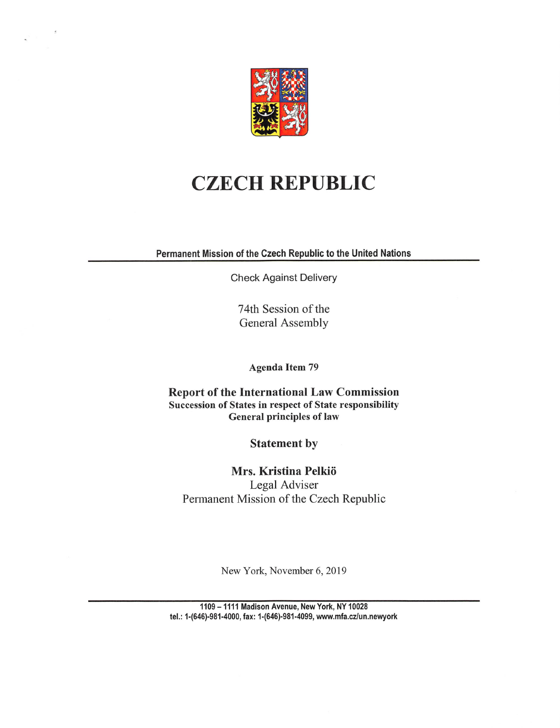

## CZECH REPUBLIC

Permanent Mission of the Czech Republic to the United Nations

Check Against Delivery

74th Session of the General Assembly

Agenda Item 79

Report of the International Law Commission Succession of States in respect of State responsibility General principles of law

Statement by

Mrs. Kristina Pelkio Legal Adviser Permanent Mission of the Czech Republic

New York, November 6, 2019

1109 -1111 Madison Avenue, New York, NY 10028 tel.: 1-(646)-981-4000, fax: 1-(646)-981-4099, www,mfa.cz/un.nev\/york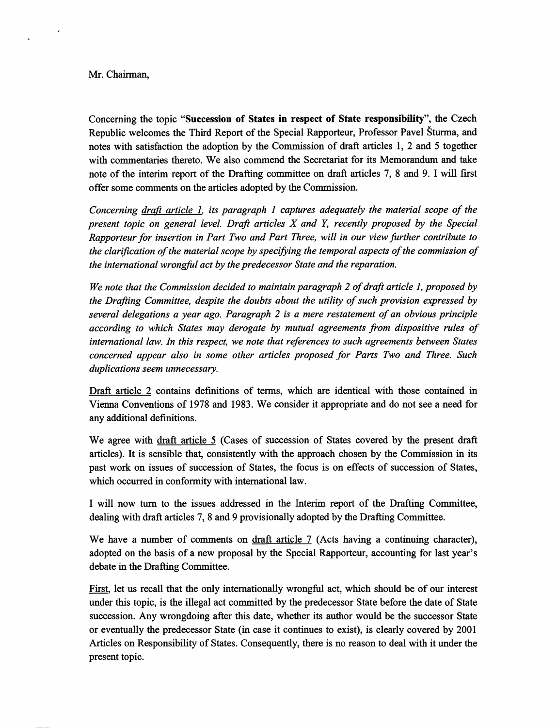## Mr. Chairman,

Concerning the topic "Succession of States in respect of State responsibility", the Czech Republic welcomes the Third Report of the Special Rapporteur, Professor Pavel Sturma, and notes with satisfaction the adoption by the Commission of draft articles 1, 2 and 5 together with commentaries thereto. We also commend the Secretariat for its Memorandum and take note of the interim report of the Drafting committee on draft articles 7, 8 and 9. I will first offer some comments on the articles adopted by the Commission.

Concerning draft article 1. its paragraph 1 captures adequately the material scope of the present topic on general level. Draft articles  $X$  and  $Y$ , recently proposed by the Special Rapporteur for insertion in Part Two and Fart Three, will in our view further contribute to the clarification of the material scope by specifying the temporal aspects of the commission of the international wrongful act by the predecessor State and the reparation.

We note that the Commission decided to maintain paragraph 2 of draft article 1, proposed by the Drafting Committee, despite the doubts about the utility of such provision expressed by several delegations a year ago. Paragraph 2 is a mere restatement of an obvious principle according to which States may derogate by mutual agreements from dispositive rules of international law. In this respect, we note that references to such agreements between States concerned appear also in some other articles proposed for Parts Two and Three. Such duplications seem unnecessary.

Draft article 2 contains definitions of terms, which are identical with those contained in Vienna Conventions of 1978 and 1983. We consider it appropriate and do not see a need for any additional definitions.

We agree with draft article 5 (Cases of succession of States covered by the present draft articles). It is sensible that, consistently with the approach chosen by the Commission in its past work on issues of succession of States, the focus is on effects of succession of States, which occurred in conformity with international law.

I will now turn to the issues addressed in the Interim report of the Drafting Committee, dealing with draft articles 7, 8 and 9 provisionally adopted by the Drafting Committee.

We have a number of comments on draft article 7 (Acts having a continuing character), adopted on the basis of a new proposal by the Special Rapporteur, accounting for last year's debate in the Drafting Committee.

First, let us recall that the only internationally wrongful act, which should be of our interest under this topic, is the illegal act committed by the predecessor State before the date of State succession. Any wrongdoing after this date, whether its author would be the successor State or eventually the predecessor State (in case it continues to exist), is clearly covered by 2001 Articles on Responsibility of States. Consequently, there is no reason to deal with it imder the present topic.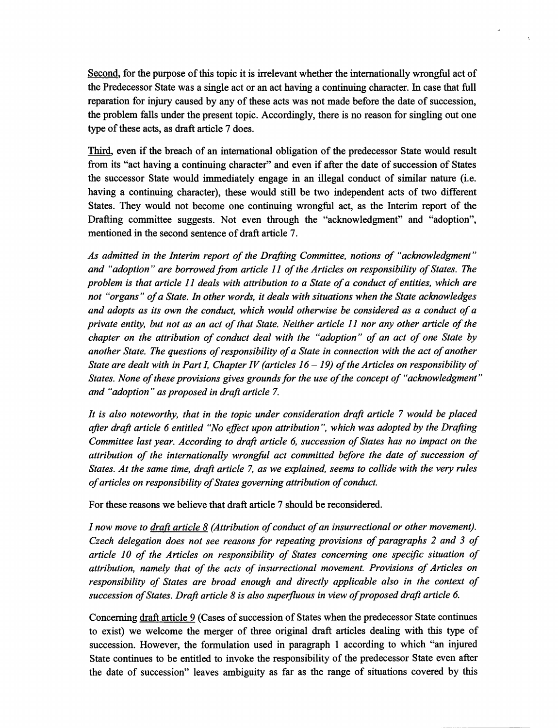Second, for the purpose of this topic it is irrelevant whether the internationally wrongful act of the Predecessor State was a single act or an act having a continuing character. In case that full reparation for injury caused by any of these acts was not made before the date of succession, the problem falls under the present topic. Accordingly, there is no reason for singling out one type of these acts, as draft article 7 does.

Third, even if the breach of an international obligation of the predecessor State would result from its "act having a continuing character" and even if after the date of succession of States the successor State would immediately engage in an illegal conduct of similar nature (i.e. having a continuing character), these would still be two independent acts of two different States. They would not become one continuing wrongful act, as the Interim report of the Drafting committee suggests. Not even through the "acknowledgment" and "adoption", mentioned in the second sentence of draft article 7.

As admitted in the Interim report of the Drafting Committee, notions of "acknowledgment" and "adoption" are borrowed from article 11 of the Articles on responsibility of States. The problem is that article 11 deals with attribution to a State of a conduct of entities, which are not "organs" of a State. In other words, it deals with situations when the State acknowledges and adopts as its own the conduct, which would otherwise be considered as a conduct of a private entity, but not as an act of that State. Neither article 11 nor any other article of the chapter on the attribution of conduct deal with the "adoption" of an act of one State by another State. The questions of responsibility of a State in connection with the act of another State are dealt with in Part I, Chapter IV (articles  $16 - 19$ ) of the Articles on responsibility of States. None of these provisions gives grounds for the use of the concept of "acknowledgment" and "adoption " as proposed in draft article 7.

It is also noteworthy, that in the topic under consideration draft article 7 would be placed after draft article 6 entitled "No effect upon attribution ", which was adopted by the Drafting Committee last year. According to draft article 6, succession of States has no impact on the attribution of the internationally wrongful act committed before the date of succession of States. At the same time, draft article 7, as we explained, seems to collide with the very rules of articles on responsibility of States governing attribution of conduct.

For these reasons we believe that draft article 7 should be reconsidered.

I now move to  $\frac{draf}{dt}$  article  $\frac{8}{4}$  (Attribution of conduct of an insurrectional or other movement). Czech delegation does not see reasons for repeating provisions of paragraphs 2 and 3 of article 10 of the Articles on responsibility of States concerning one specific situation of attribution, namely that of the acts of insurrectional movement. Provisions of Articles on responsibility of States are broad enough and directly applicable also in the context of succession of States. Draft article  $\delta$  is also superfluous in view of proposed draft article 6.

Concerning draft article 9 (Cases of succession of States when the predecessor State continues to exist) we welcome the merger of three original draft articles dealing with this type of succession. However, the formulation used in paragraph 1 according to which "an injured State continues to be entitled to invoke the responsibility of the predecessor State even after the date of succession" leaves ambiguity as far as the range of situations covered by this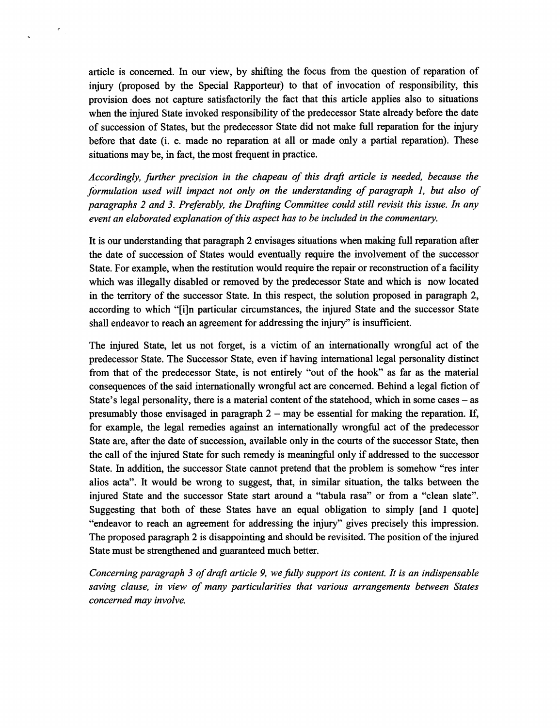article is concerned. In our view, by shifting the focus from the question of reparation of injury (proposed by the Special Rapporteur) to that of invocation of responsibility, this provision does not capture satisfactorily the fact that this article applies also to situations when the injured State invoked responsibility of the predecessor State already before the date of succession of States, but the predecessor State did not make fiill reparation for the injury before that date (i. e. made no reparation at all or made only a partial reparation). These situations may be, in fact, the most frequent in practice.

Accordingly, further precision in the chapeau of this draft article is needed, because the formulation used will impact not only on the understanding of paragraph 1, but also of paragraphs 2 and 3. Preferably, the Drafting Committee could still revisit this issue. In any event an elaborated explanation of this aspect has to be included in the commentary.

It is our understanding that paragraph 2 envisages situations when making full reparation after the date of succession of States would eventually require the involvement of the successor State. For example, when the restitution would require the repair or reconstruction of a facility which was illegally disabled or removed by the predecessor State and which is now located in the territory of the successor State. In this respect, the solution proposed in paragraph 2, according to which "[i]n particular circumstances, the injured State and the successor State shall endeavor to reach an agreement for addressing the injury" is insufficient.

The injured State, let us not forget, is a victim of an internationally wrongful act of the predecessor State. The Successor State, even if having international legal personality distinct from that of the predecessor State, is not entirely "out of the hook" as far as the material consequences of the said internationally wrongful act are concerned. Behind a legal fiction of State's legal personality, there is a material content of the statehood, which in some cases  $-$  as presumably those envisaged in paragraph  $2 -$  may be essential for making the reparation. If, for example, the legal remedies against an internationally wrongful act of the predecessor State are, after the date of succession, available only in the courts of the successor State, then the call of the injured State for such remedy is meaningful only if addressed to the successor State. In addition, the successor State cannot pretend that the problem is somehow "res inter alios acta". It would be wrong to suggest, that, in similar situation, the talks between the injured State and the successor State start around a "tabula rasa" or from a "clean slate". Suggesting that both of these States have an equal obligation to simply [and I quote] "endeavor to reach an agreement for addressing the injury" gives precisely this impression. The proposed paragraph 2 is disappointing and should be revisited. The position of the injured State must be strengthened and guaranteed much better.

Concerning paragraph 3 of draft article 9, we fully support its content. It is an indispensable saving clause, in view of many particularities that various arrangements between States concerned may involve.